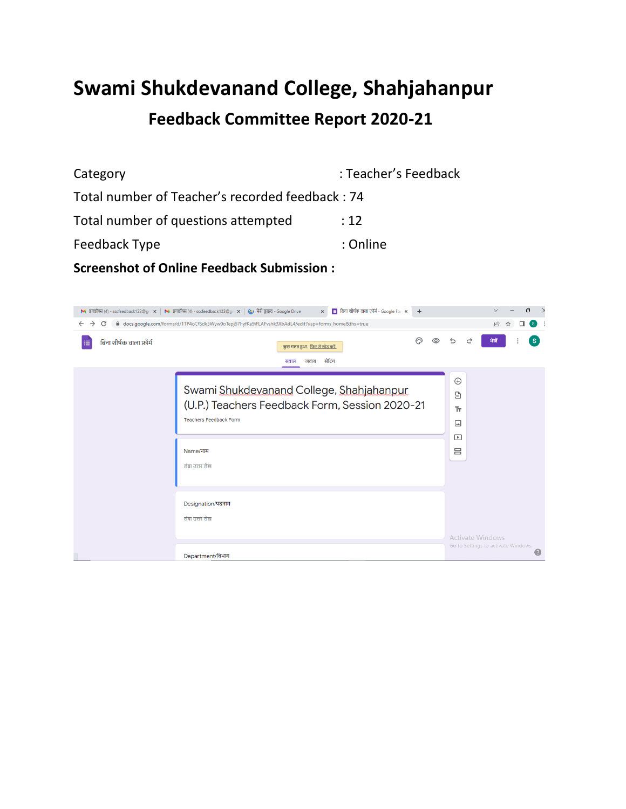# **Swami Shukdevanand College, Shahjahanpur Feedback Committee Report 2020-21**

| Category                                        | : Teacher's Feedback |  |  |  |  |  |
|-------------------------------------------------|----------------------|--|--|--|--|--|
| Total number of Teacher's recorded feedback: 74 |                      |  |  |  |  |  |
| Total number of questions attempted             | :12                  |  |  |  |  |  |
| Feedback Type                                   | : Online             |  |  |  |  |  |
|                                                 |                      |  |  |  |  |  |

**Screenshot of Online Feedback Submission :**

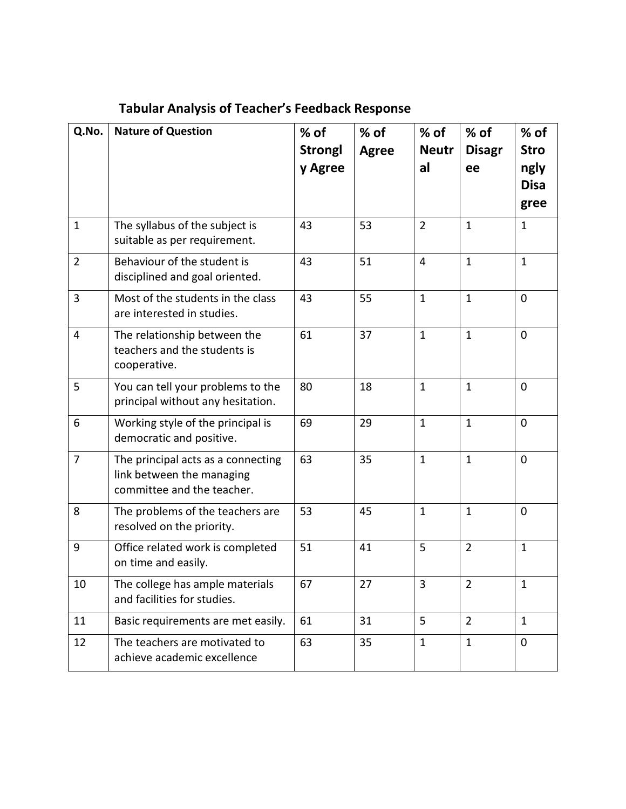| Q.No.          | <b>Nature of Question</b>                                                                     | $%$ of         | % of         | % of           | % of           | % of         |
|----------------|-----------------------------------------------------------------------------------------------|----------------|--------------|----------------|----------------|--------------|
|                |                                                                                               | <b>Strongl</b> | <b>Agree</b> | <b>Neutr</b>   | <b>Disagr</b>  | <b>Stro</b>  |
|                |                                                                                               | y Agree        |              | al             | ee             | ngly         |
|                |                                                                                               |                |              |                |                | <b>Disa</b>  |
|                |                                                                                               |                |              |                |                | gree         |
| $\mathbf{1}$   | The syllabus of the subject is<br>suitable as per requirement.                                | 43             | 53           | $\overline{2}$ | $\mathbf{1}$   | $\mathbf{1}$ |
| $\overline{2}$ | Behaviour of the student is<br>disciplined and goal oriented.                                 | 43             | 51           | $\overline{4}$ | $\mathbf{1}$   | $\mathbf{1}$ |
| 3              | Most of the students in the class<br>are interested in studies.                               | 43             | 55           | $\mathbf{1}$   | $\mathbf{1}$   | $\mathbf 0$  |
| $\overline{4}$ | The relationship between the<br>teachers and the students is<br>cooperative.                  | 61             | 37           | $\mathbf{1}$   | $\mathbf{1}$   | $\mathbf 0$  |
| 5              | You can tell your problems to the<br>principal without any hesitation.                        | 80             | 18           | $\mathbf{1}$   | $\mathbf{1}$   | $\mathbf 0$  |
| 6              | Working style of the principal is<br>democratic and positive.                                 | 69             | 29           | $\mathbf{1}$   | $\mathbf{1}$   | $\mathbf 0$  |
| $\overline{7}$ | The principal acts as a connecting<br>link between the managing<br>committee and the teacher. | 63             | 35           | $\mathbf{1}$   | $\mathbf{1}$   | $\mathbf 0$  |
| 8              | The problems of the teachers are<br>resolved on the priority.                                 | 53             | 45           | $\mathbf{1}$   | $\mathbf{1}$   | $\mathbf 0$  |
| 9              | Office related work is completed<br>on time and easily.                                       | 51             | 41           | 5              | $\overline{2}$ | $\mathbf{1}$ |
| 10             | The college has ample materials<br>and facilities for studies.                                | 67             | 27           | 3              | $\overline{2}$ | 1            |
| 11             | Basic requirements are met easily.                                                            | 61             | 31           | 5              | $\overline{2}$ | $\mathbf{1}$ |
| 12             | The teachers are motivated to<br>achieve academic excellence                                  | 63             | 35           | $\mathbf{1}$   | $\mathbf{1}$   | $\mathbf 0$  |

# **Tabular Analysis of Teacher's Feedback Response**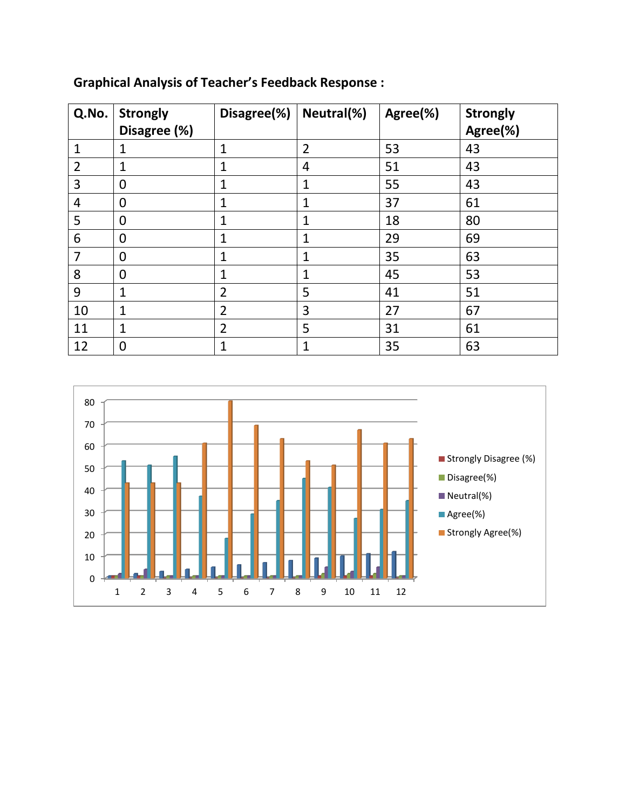| Q.No.          | <b>Strongly</b><br>Disagree (%) | Disagree(%)    | Neutral(%)     | Agree(%) | <b>Strongly</b><br>Agree(%) |
|----------------|---------------------------------|----------------|----------------|----------|-----------------------------|
| $\mathbf{1}$   | $\mathbf{1}$                    | $\mathbf{1}$   | $\overline{2}$ | 53       | 43                          |
| $\overline{2}$ | $\mathbf{1}$                    | $\mathbf{1}$   | 4              | 51       | 43                          |
| 3              | $\mathbf 0$                     | 1              | 1              | 55       | 43                          |
| 4              | $\mathbf 0$                     | 1              | 1              | 37       | 61                          |
| 5              | 0                               | $\mathbf{1}$   | $\mathbf{1}$   | 18       | 80                          |
| 6              | $\mathbf 0$                     | 1              | 1              | 29       | 69                          |
| 7              | $\mathbf 0$                     | 1              | 1              | 35       | 63                          |
| 8              | $\overline{0}$                  | 1              | 1              | 45       | 53                          |
| 9              | $\mathbf{1}$                    | $\overline{2}$ | 5              | 41       | 51                          |
| 10             | 1                               | $\overline{2}$ | 3              | 27       | 67                          |
| 11             | $\mathbf{1}$                    | $\overline{2}$ | 5              | 31       | 61                          |
| 12             | 0                               | $\mathbf{1}$   | $\mathbf{1}$   | 35       | 63                          |

# **Graphical Analysis of Teacher's Feedback Response :**